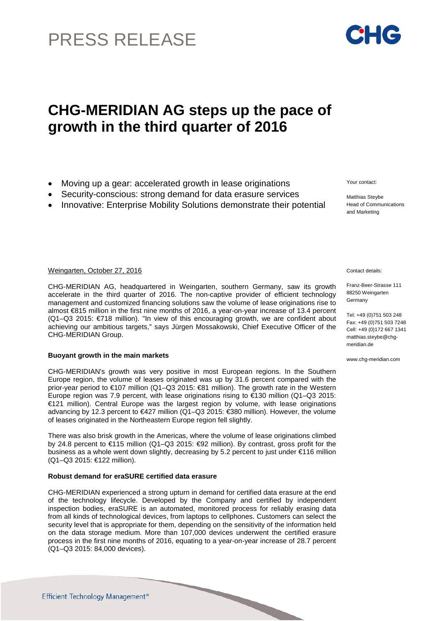# PRESS RELEASE

# **CHG-MERIDIAN AG steps up the pace of growth in the third quarter of 2016**

- Moving up a gear: accelerated growth in lease originations
- Security-conscious: strong demand for data erasure services
- Innovative: Enterprise Mobility Solutions demonstrate their potential

### Weingarten, October 27, 2016 Contact details:

CHG-MERIDIAN AG, headquartered in Weingarten, southern Germany, saw its growth accelerate in the third quarter of 2016. The non-captive provider of efficient technology management and customized financing solutions saw the volume of lease originations rise to almost €815 million in the first nine months of 2016, a year-on-year increase of 13.4 percent (Q1–Q3 2015: €718 million). "In view of this encouraging growth, we are confident about achieving our ambitious targets," says Jürgen Mossakowski, Chief Executive Officer of the CHG-MERIDIAN Group.

# **Buoyant growth in the main markets**

CHG-MERIDIAN's growth was very positive in most European regions. In the Southern Europe region, the volume of leases originated was up by 31.6 percent compared with the prior-year period to €107 million (Q1–Q3 2015: €81 million). The growth rate in the Western Europe region was 7.9 percent, with lease originations rising to €130 million (Q1–Q3 2015: €121 million). Central Europe was the largest region by volume, with lease originations advancing by 12.3 percent to €427 million (Q1–Q3 2015: €380 million). However, the volume of leases originated in the Northeastern Europe region fell slightly.

There was also brisk growth in the Americas, where the volume of lease originations climbed by 24.8 percent to €115 million (Q1–Q3 2015: €92 million). By contrast, gross profit for the business as a whole went down slightly, decreasing by 5.2 percent to just under €116 million (Q1–Q3 2015: €122 million).

# **Robust demand for eraSURE certified data erasure**

CHG-MERIDIAN experienced a strong upturn in demand for certified data erasure at the end of the technology lifecycle. Developed by the Company and certified by independent inspection bodies, eraSURE is an automated, monitored process for reliably erasing data from all kinds of technological devices, from laptops to cellphones. Customers can select the security level that is appropriate for them, depending on the sensitivity of the information held on the data storage medium. More than 107,000 devices underwent the certified erasure process in the first nine months of 2016, equating to a year-on-year increase of 28.7 percent (Q1–Q3 2015: 84,000 devices).

Your contact:

Matthias Steybe Head of Communications and Marketing

Franz-Beer-Strasse 111 88250 Weingarten Germany

Tel: +49 (0)751 503 248 Fax: +49 (0)751 503 7248 Cell: +49 (0)172 667 1341 [matthias.steybe@chg](mailto:matthias.steybe@chg-)meridian.de

www.chg-meridian.com

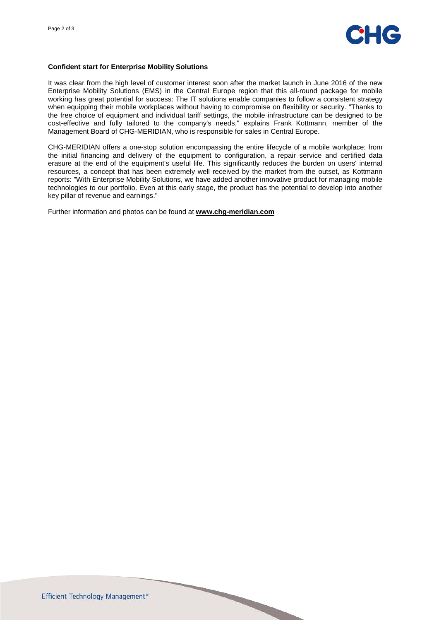

#### **Confident start for Enterprise Mobility Solutions**

It was clear from the high level of customer interest soon after the market launch in June 2016 of the new Enterprise Mobility Solutions (EMS) in the Central Europe region that this all-round package for mobile working has great potential for success: The IT solutions enable companies to follow a consistent strategy when equipping their mobile workplaces without having to compromise on flexibility or security. "Thanks to the free choice of equipment and individual tariff settings, the mobile infrastructure can be designed to be cost-effective and fully tailored to the company's needs," explains Frank Kottmann, member of the Management Board of CHG-MERIDIAN, who is responsible for sales in Central Europe.

CHG-MERIDIAN offers a one-stop solution encompassing the entire lifecycle of a mobile workplace: from the initial financing and delivery of the equipment to configuration, a repair service and certified data erasure at the end of the equipment's useful life. This significantly reduces the burden on users' internal resources, a concept that has been extremely well received by the market from the outset, as Kottmann reports: "With Enterprise Mobility Solutions, we have added another innovative product for managing mobile technologies to our portfolio. Even at this early stage, the product has the potential to develop into another key pillar of revenue and earnings."

Further information and photos can be found at **[www.chg-meridian.com](http://www.chg-meridian.com/)**